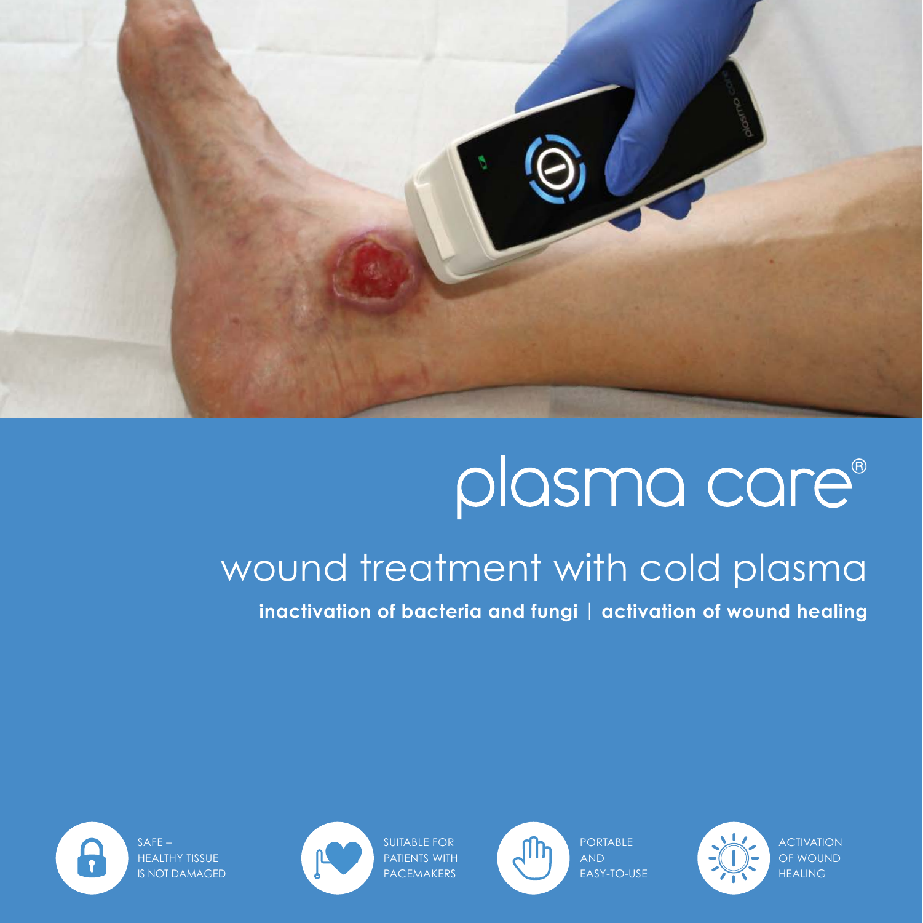

# plasma care®

### wound treatment with cold plasma

**inactivation of bacteria and fungi** | **activation of wound healing**

PORTABLE AND EASY-TO-USE



ACTIVATION OF WOUND HEALING

SUITABLE FOR PATIENTS WITH PACEMAKERS



 $\bullet$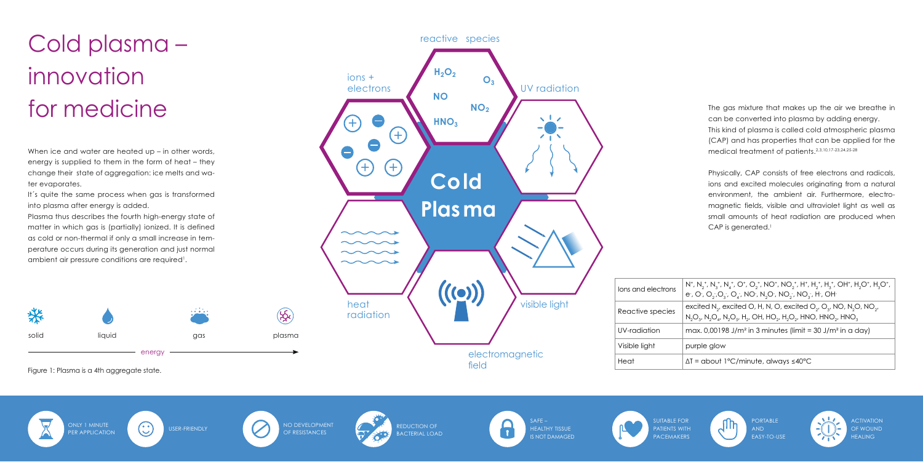

## Cold plasma – innovation for medicine

When ice and water are heated up – in other words, energy is supplied to them in the form of heat – they change their state of aggregation: ice melts and water evaporates.

It's quite the same process when gas is transformed into plasma after energy is added.

Plasma thus describes the fourth high-energy state of matter in which gas is (partially) ionized. It is defined as cold or non-thermal if only a small increase in temperature occurs during its generation and just normal ambient air pressure conditions are required<sup>1</sup>.

The gas mixture that makes up the air we breathe in can be converted into plasma by adding energy. This kind of plasma is called cold atmospheric plasma (CAP) and has properties that can be applied for the medical treatment of patients.2,3,10,17-23,24,25-28

Physically, CAP consists of free electrons and radicals, ions and excited molecules originating from a natural environment, the ambient air. Furthermore, electromagnetic fields, visible and ultraviolet light as well as small amounts of heat radiation are produced when CAP is generated.<sup>1</sup>

 $_1^+$ , N<sub>3</sub><sup>+</sup>, N<sup>+</sup>, O<sup>+</sup>, O<sub>2</sub><sup>+</sup>, NO<sup>+</sup>, NO<sub>2</sub><sup>+</sup>, H<sup>+</sup>, H<sub>2</sub><sup>+</sup>, H<sub>3</sub><sup>+</sup>, OH<sup>+</sup>, H<sub>2</sub>O<sup>+</sup>, H<sub>3</sub>O<sup>+</sup>, , O , O  $_{2}$  ,O  $_{3}$  , O  $_{4}$  , NO , N  $_{2}$ O , NO  $_{2}$  , NO  $_{3}$  , H , OH  $_{2}$ 

Reactive species  $\begin{bmatrix} \text{excited N}_2, \text{excited O}, H, N, O, \text{excited O}_2, O_3, NO, N_2O, NO_2, \end{bmatrix}$  $\mathrm{SO}_{3'}$ , N $\mathrm{SO}_{4'}$ , N $\mathrm{SO}_{5'}$ , H $\mathrm{_{2'}}$ , OH, HO $\mathrm{_{2'}}$ , H $\mathrm{_{2}}\mathrm{O}_{2'}$ , HNO, HNO $\mathrm{_{2'}}$ , HNO $\mathrm{_{3}}$ 

 $10.00198$  J/m<sup>2</sup> in 3 minutes (limit = 30 J/m<sup>2</sup> in a day)

le glow

about 1°C/minute, always ≤40°C

reactive species  $H_2O_2$ ions + **O3** electrons UV radiation **NO NO<sub>2</sub> HNO3** o +  $(+)$  $\sqrt{1}$  $\bullet$  $\bullet$  $(+)$   $(+)$  **Cold Plasma**  $\sim$   $\sim$   $\sim$  $\sim$   $\sim$   $\sim$  $((\odot))$ visible light heat radiation

> electromagnetic field

ONLY 1 MINUTE<br>PER APPLICATION (CO) USER-FRIENDLY CONTROLLY OF RESISTANCES OF RESISTANCES

REDUCTION OF BACTERIAL LOAD



SUITABLE FOR PATIENTS WITH **PACEMAKERS** 

ACTIVATION OF WOUND **HEALING** 

|  | lons and electrons | $N^*$ , $N_c$<br>et, Ot, |  |
|--|--------------------|--------------------------|--|
|  | Reactive species   | excite<br>$N_2O_{3}$     |  |
|  | UV-radiation       | max.                     |  |
|  | Visible light      | purple                   |  |
|  | Heat               | $\Lambda T = c$          |  |

Figure 1: Plasma is a 4th agaregate state.









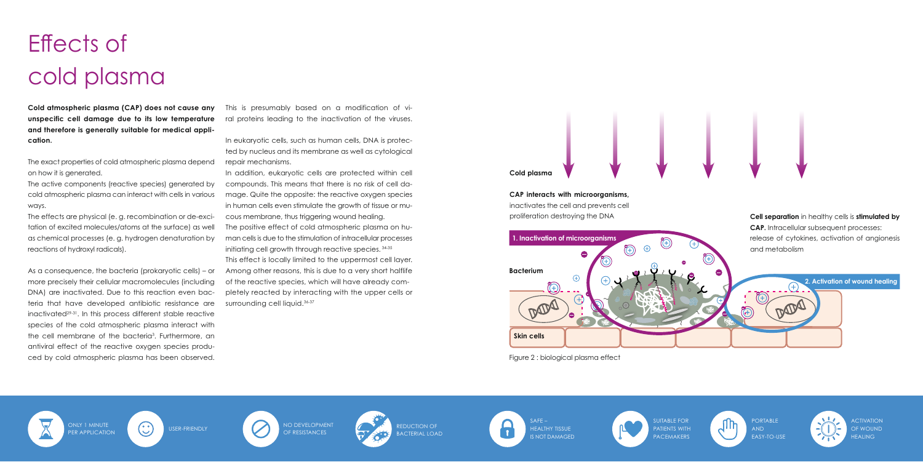**Cold atmospheric plasma (CAP) does not cause any unspecific cell damage due to its low temperature and therefore is generally suitable for medical application.** 

The exact properties of cold atmospheric plasma depend on how it is generated.

The active components (reactive species) generated by cold atmospheric plasma can interact with cells in various ways.

The effects are physical (e. g. recombination or de-excitation of excited molecules/atoms at the surface) as well as chemical processes (e. g. hydrogen denaturation by reactions of hydroxyl radicals).

In addition, eukaryotic cells are protected within cell compounds. This means that there is no risk of cell damage. Quite the opposite: the reactive oxygen species in human cells even stimulate the growth of tissue or mucous membrane, thus triggering wound healing. The positive effect of cold atmospheric plasma on human cells is due to the stimulation of intracellular processes initiating cell growth through reactive species. 34-35 This effect is locally limited to the uppermost cell layer. Among other reasons, this is due to a very short halflife of the reactive species, which will have already completely reacted by interacting with the upper cells or surrounding cell liquid.<sup>36-37</sup>

As a consequence, the bacteria (prokaryotic cells) – or more precisely their cellular macromolecules (including DNA) are inactivated. Due to this reaction even bacteria that have developed antibiotic resistance are inactivated29-31. In this process different stable reactive species of the cold atmospheric plasma interact with the cell membrane of the bacteria<sup>3</sup>. Furthermore, an antiviral effect of the reactive oxygen species produced by cold atmospheric plasma has been observed.

> ONLY 1 MINUTE<br>PER APPLICATION (CO) USER-FRIENDLY CONTROLLY OF RESISTANCES OF RESISTANCES

SUITABLE FOR PATIENTS WITH **PACEMAKERS** 



This is presumably based on a modification of viral proteins leading to the inactivation of the viruses.

> **PORTABLE** AND EASY-TO-USE



**ACTIVATION** OF WOUND **HEALING** 

In eukaryotic cells, such as human cells, DNA is protected by nucleus and its membrane as well as cytological repair mechanisms.

## Effects of cold plasma

ONLY 1 MINUTE









Figure 2 : biological plasma effect

#### **Cold plasma**

#### **CAP interacts with microorganisms,**

inactivates the cell and prevents cell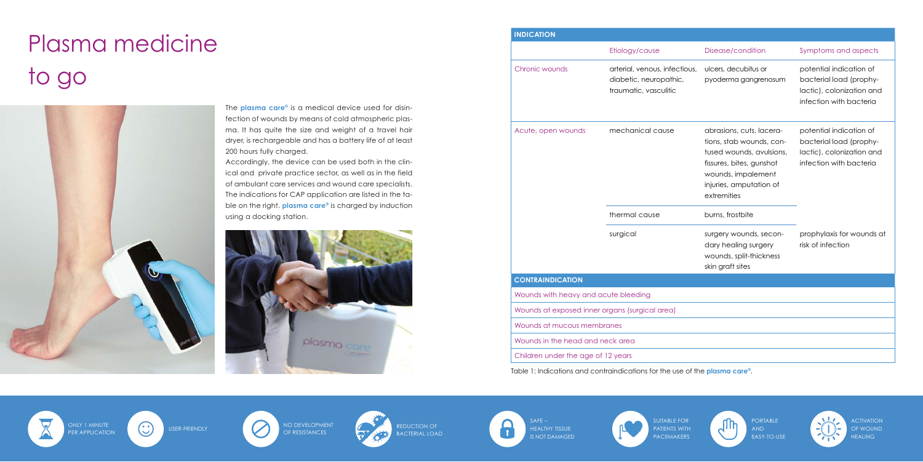The **plasma care®** is a medical device used for disinfection of wounds by means of cold atmospheric plasma. It has quite the size and weight of a travel hair dryer, is rechargeable and has a battery life of at least 200 hours fully charged.

Accordingly, the device can be used both in the clinical and private practice sector, as well as in the field of ambulant care services and wound care specialists. The indications for CAP application are listed in the table on the right. **plasma care®** is charged by induction using a docking station.



## Plasma medicine to go



### **INDICATION**

Etiology/cause Chronic wounds arterial, venous, infectious, diabetic, neuropathic, traumatic, vasculitic Acute, open wounds mechanical cause thermal cause surgical **CONTRAINDICATION** Wounds with heavy and acute bleeding Wounds at exposed inner organs (surgical area) Wounds at mucous membranes Wounds in the head and neck area Children under the age of 12 years

ONLY 1 MINUTE<br>PER APPLICATION (CO) USER-FRIENDLY CONTROLLY OF RESISTANCES OF RESISTANCES



ACTIVATION OF WOUND **HEALING** 

| Disease/condition                                                                                                                                                            | Symptoms and aspects                                                                                       |
|------------------------------------------------------------------------------------------------------------------------------------------------------------------------------|------------------------------------------------------------------------------------------------------------|
| ulcers, decubitus or<br>pyoderma gangrenosum                                                                                                                                 | potential indication of<br>bacterial load (prophy-<br>lactic), colonization and<br>infection with bacteria |
| abrasions, cuts, lacera-<br>tions, stab wounds, con-<br>tused wounds, avulsions,<br>fissures, bites, gunshot<br>wounds, impalement<br>injuries, amputation of<br>extremities | potential indication of<br>bacterial load (prophy-<br>lactic), colonization and<br>infection with bacteria |
| burns, frostbite                                                                                                                                                             |                                                                                                            |
| surgery wounds, secon-<br>dary healing surgery<br>wounds, split-thickness<br>skin graft sites                                                                                | prophylaxis for wounds at<br>risk of infection                                                             |
|                                                                                                                                                                              |                                                                                                            |
|                                                                                                                                                                              |                                                                                                            |
|                                                                                                                                                                              |                                                                                                            |
|                                                                                                                                                                              |                                                                                                            |
|                                                                                                                                                                              |                                                                                                            |
|                                                                                                                                                                              |                                                                                                            |



Table 1: Indications and contraindications for the use of the **plasma care®**.



ONLY 1 MINUTE



REDUCTION OF BACTERIAL LOAD

SAFE – A HEALTHY TISSUE IS NOT DAMAGED



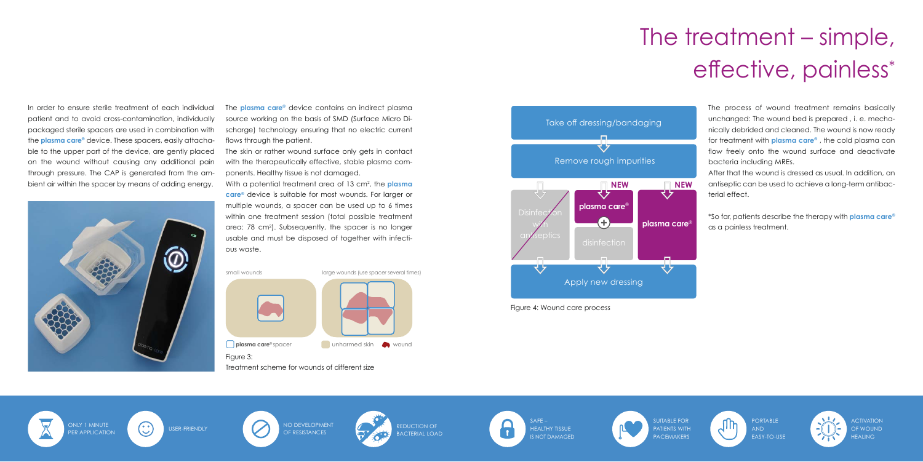In order to ensure sterile treatment of each individual patient and to avoid cross-contamination, individually packaged sterile spacers are used in combination with the **plasma care®** device. These spacers, easily attachable to the upper part of the device, are gently placed on the wound without causing any additional pain through pressure. The CAP is generated from the ambient air within the spacer by means of adding energy.



The **plasma care®** device contains an indirect plasma source working on the basis of SMD (Surface Micro Discharge) technology ensuring that no electric current flows through the patient.

The skin or rather wound surface only gets in contact with the therapeutically effective, stable plasma components. Healthy tissue is not damaged.

With a potential treatment area of 13 cm2 , the **plasma care®** device is suitable for most wounds. For larger or multiple wounds, a spacer can be used up to 6 times within one treatment session (total possible treatment area: 78 cm2 ). Subsequently, the spacer is no longer usable and must be disposed of together with infectious waste.

ONLY 1 MINUTE<br>PER APPLICATION (CO) USER-FRIENDLY CONTROLLY OF RESISTANCES OF RESISTANCES

REDUCTION OF BACTERIAL LOAD



ACTIVATION OF WOUND **HEALING** 

#### Figure 3:

Treatment scheme for wounds of different size





**plasma care**® spacer **unharmed skin** wound

The process of wound treatment remains basically unchanged: The wound bed is prepared , i. e. mechanically debrided and cleaned. The wound is now ready for treatment with **plasma care®** , the cold plasma can flow freely onto the wound surface and deactivate bacteria including MREs.

After that the wound is dressed as usual. In addition, an antiseptic can be used to achieve a long-term antibacterial effect.

\*So far, patients describe the therapy with **plasma care®** as a painless treatment.



### The treatment – simple, effective, painless\*

Figure 4: Wound care process





ONLY 1 MINUTE





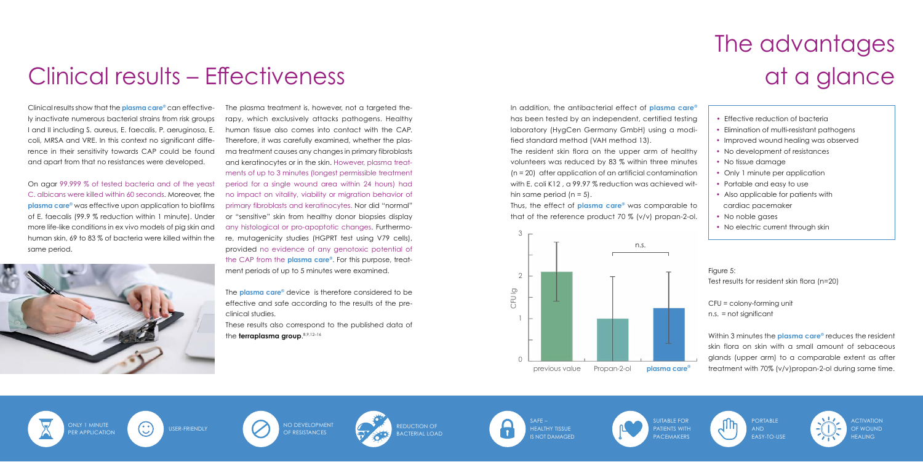on agar 99.999 % of tested bacteria and of the yeast peric<sup>ans</sup> C. albicans were killed within 60 seconds. Moreover, the no im plasma care<sup>®</sup> was effective upon application to biofilms prime of E. faecalis (99.9 % reduction within 1 minute). Under or "s*e* more life-like conditions in ex vivo models of pig skin and  $\equiv$  any  $\,$ human skin, 69 to 83  $\%$  of bacteria were killed within the same period.



The plasma treatment is, however, not a targeted therapy, which exclusively attacks pathogens. Healthy human tissue also comes into contact with the CAP. Therefore, it was carefully examined, whether the plasma treatment causes any changes in primary fibroblasts and keratinocytes or in the skin. However, plasma treatand refunction for a minutes summoned, pleasing health can<br>ments of up to 3 minutes (longest permissible treatment period for a single wound area within 24 hours) had no impact on vitality, viability or migration behavior of primary fibroblasts and keratinocytes. Nor did "normal" or "sensitive" skin from healthy donor biopsies display any histological or pro-apoptotic changes. Furthermore, mutagenicity studies (HGPRT test using V79 cells), provided no evidence of any genotoxic potential of provided he evidence of any generate persimal of the CAP from the **plasma care®**. For this purpose, treatment periods of up to 5 minutes were examined.

The **plasma care®** device is therefore considered to be effective and safe according to the results of the preclinical studies.

These results also correspond to the published data of the **terraplasma group**. 8,9,12–16  $U$ untersuchungen des plasma care  $\frac{1}{2}$ 

#### Clinical results - Effectiveness Bakterienstämme eingesetzt, einschließlich *S. aureus,*  eine zielgerichtete Therapie, die ausschließlich die Pathogene angreift. Auch gesundes menschliches Ge-

Clinical results show that the **plasma care®** can effective- The <sub>l</sub> ly inactivate numerous bacterial strains from risk groups rapy, I and II including S. aureus, E. faecalis, P. aeruginosa, E. hu coli, MRSA and VRE. In this context no significant difference in their sensitivity towards CAP could be found  $\;$  ma tr and apart from that no resistances were developed. and and that and apart from that no resistances were and and<br>*a* 

The resident skin flora on the upper arm of healthy volunteers was reduced by 83 % within three minutes (n = 20) after application of an artificial contamination with E. coli K12 , a 99.97 % reduction was achieved within same period  $(n = 5)$ .

- Effective reduction of bacteria
- Elimination of multi-resistant pathogens
- Improved wound healing was observed
- No development of resistances
- No tissue damage

ſ

- Only 1 minute per application
- Portable and easy to use
- Also applicable for patients with cardiac pacemaker
- No noble gases
- No electric current through skin

Figure 5: Test results for resident skin flora (n=20)

ONLY 1 MINUTE<br>PER APPLICATION (CO) USER-FRIENDLY CONTROLLY OF RESISTANCES OF RESISTANCES

REDUCTION OF BACTERIAL LOAD



 $SAFF -$ HEALTHY TISSUE  $\mathbf{r}$ IS NOT DAMAGED

ACTIVATION OF WOUND **HEALING** 

In addition, the antibacterial effect of **plasma care®** has been tested by an independent, certified testing laboratory (HygCen Germany GmbH) using a modified standard method (VAH method 13).

Thus, the effect of **plasma care®** was comparable to that of the reference product 70 % (v/v) propan-2-ol.

> CFU = colony-forming unit n.s. = not significant

Within 3 minutes the **plasma care®** reduces the resident skin flora on skin with a small amount of sebaceous glands (upper arm) to a comparable extent as after treatment with 70% (v/v)propan-2-ol during same time.



## The advantages at a glance



ONLY 1 MINUTE





PATIENTS WITH PACEMAKERS

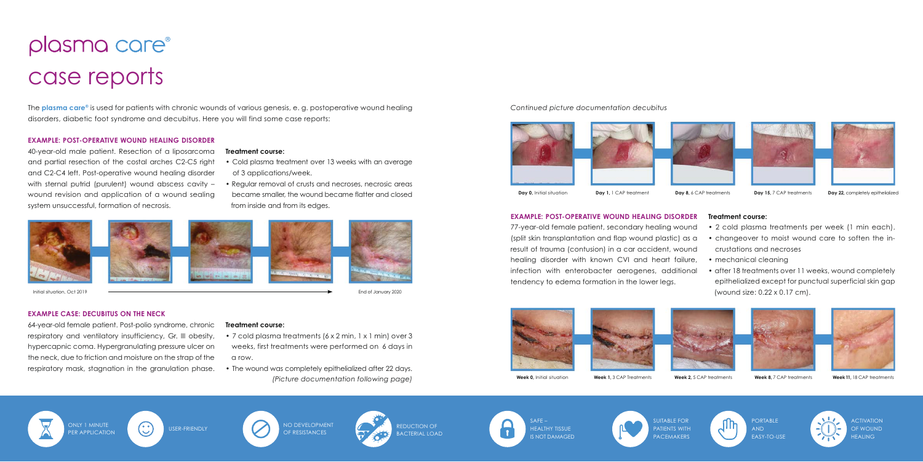### plasma care<sup>®</sup> case reports

#### **EXAMPLE: POST-OPERATIVE WOUND HEALING DISORDER**

40-year-old male patient. Resection of a liposarcoma and partial resection of the costal arches C2-C5 right and C2-C4 left. Post-operative wound healing disorder with sternal putrid (purulent) wound abscess cavity – wound revision and application of a wound sealing system unsuccessful, formation of necrosis.

#### **EXAMPLE CASE: DECUBITUS ON THE NECK**

64-year-old female patient. Post-polio syndrome, chronic respiratory and ventilatory insufficiency, Gr. III obesity, hypercapnic coma. Hypergranulating pressure ulcer on the neck, due to friction and moisture on the strap of the respiratory mask, stagnation in the granulation phase.

#### **Treatment course:**

- Cold plasma treatment over 13 weeks with an average of 3 applications/week.
- Regular removal of crusts and necroses, necrosic areas became smaller, the wound became flatter and closed from inside and from its edges.



Initial situation, Oct 2019 **Initial situation**, Oct 2019 **Initial situation** Control of January 2020

#### **Treatment course:**

- 7 cold plasma treatments (6 x 2 min, 1 x 1 min) over 3
- weeks, first treatments were performed on 6 days in a row.
- The wound was completely epithelialized after 22 days. *(Picture documentation following page)*

ONLY 1 MINUTE<br>PER APPLICATION (CO) USER-FRIENDLY CONTROLLY OF RESISTANCES OF RESISTANCES



**REDUCTION OF** BACTERIAL LOAD SUITABLE FOR PATIENTS WITH **PACEMAKERS** 







The **plasma care®** is used for patients with chronic wounds of various genesis, e. g. postoperative wound healing disorders, diabetic foot syndrome and decubitus. Here you will find some case reports:

**Day 0,** Initial situation **Day 1,** 1 CAP treatment **Day 8,** 6 CAP treatments **Day 15**, 7 CAP treatments **Day 22**, completely epithelialized

ACTIVATION OF WOUND **HEALING** 

*Continued picture documentation decubitus*





#### **EXAMPLE: POST-OPERATIVE WOUND HEALING DISORDER**

77-year-old female patient, secondary healing wound (split skin transplantation and flap wound plastic) as a result of trauma (contusion) in a car accident, wound healing disorder with known CVI and heart failure, infection with enterobacter aerogenes, additional tendency to edema formation in the lower legs.









#### **Treatment course:**

- 2 cold plasma treatments per week (1 min each).
- changeover to moist wound care to soften the in crustations and necroses
- mechanical cleaning
- after 18 treatments over 11 weeks, wound completely epithelialized except for punctual superficial skin gap (wound size: 0.22 x 0.17 cm).







**Week 0,** Initial situation **Week 1,** 3 CAP Treatments **Week 2,** 5 CAP treatments **Week 8,** 7 CAP treatments **Week 11,** 18 CAP treatments











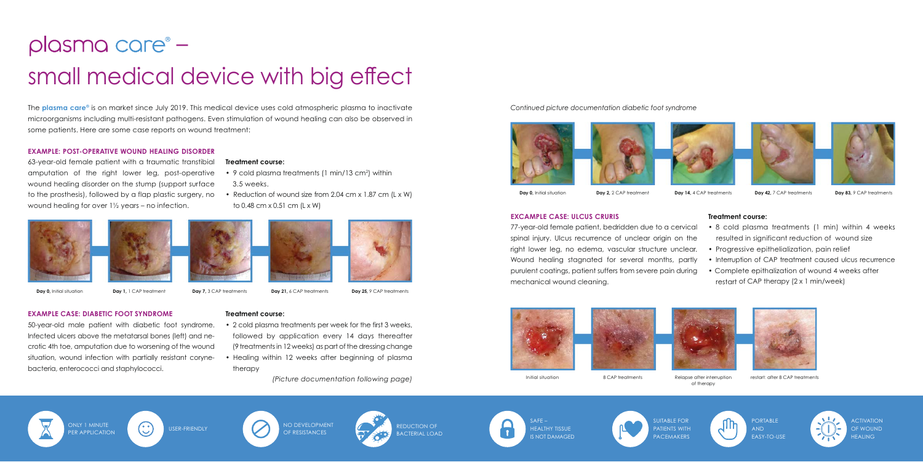### plasma care<sup>®</sup> – small medical device with big effect

#### **EXAMPLE: POST-OPERATIVE WOUND HEALING DISORDER**

63-year-old female patient with a traumatic transtibial amputation of the right lower leg, post-operative wound healing disorder on the stump (support surface to the prosthesis), followed by a flap plastic surgery, no wound healing for over 1½ years – no infection.





- -
- -

- 
- 

**EXAMPLE CASE: DIABETIC FOOT SYNDROME**

50-year-old male patient with diabetic foot syndrome. Infected ulcers above the metatarsal bones (left) and necrotic 4th toe, amputation due to worsening of the wound situation, wound infection with partially resistant corynebacteria, enterococci and staphylococci.



**Treatment course:**

3.5 weeks.

to 0.48 cm x 0.51 cm (L x W)

**Day 0, Initial situation Day 1, 1 CAP treatment <b>Day 7,** 3 CAP treatments **Day 21,** 6 CAP treatments **Day 25,** 9 CAP treatments

**Treatment course:** • 2 cold plasma treatments per week for the first 3 weeks,

- followed by application every 14 days thereafter (9 treatments in 12 weeks) as part of the dressing change
- Healing within 12 weeks after beginning of plasma therapy

*(Picture documentation following page)*

The **plasma care®** is on market since July 2019. This medical device uses cold atmospheric plasma to inactivate microorganisms including multi-resistant pathogens. Even stimulation of wound healing can also be observed in some patients. Here are some case reports on wound treatment:

> SUITABLE FOR PATIENTS WITH **PACEMAKERS**



• 9 cold plasma treatments (1 min/13 cm<sup>2</sup>) within

• Reduction of wound size from 2.04 cm x 1.87 cm (L x W)

ACTIVATION OF WOUND **HEALING** 

*Continued picture documentation diabetic foot syndrome*



**Day 0, Initial situation Day 2, 2 CAP treatment Day 14, 4 CAP treatments <b>Day 42, 7 CAP** treatments **Day 83**, 9 CAP treatments

#### **EXCAMPLE CASE: ULCUS CRURIS**

77-year-old female patient, bedridden due to a cervical spinal injury. Ulcus recurrence of unclear origin on the right lower leg, no edema, vascular structure unclear. Wound healing stagnated for several months, partly purulent coatings, patient suffers from severe pain during mechanical wound cleaning.







#### **Treatment course:**

- 8 cold plasma treatments (1 min) within 4 weeks resulted in significant reduction of wound size
- Progressive epithelialization, pain relief
- Interruption of CAP treatment caused ulcus recurrence
- Complete epithalization of wound 4 weeks after restart of CAP therapy (2 x 1 min/week)

Initial situation 8 CAP treatments Relapse after interruption



of therapy



restart: after 8 CAP treatments









OF RESISTANCES



**REDUCTION OF** BACTERIAL LOAD







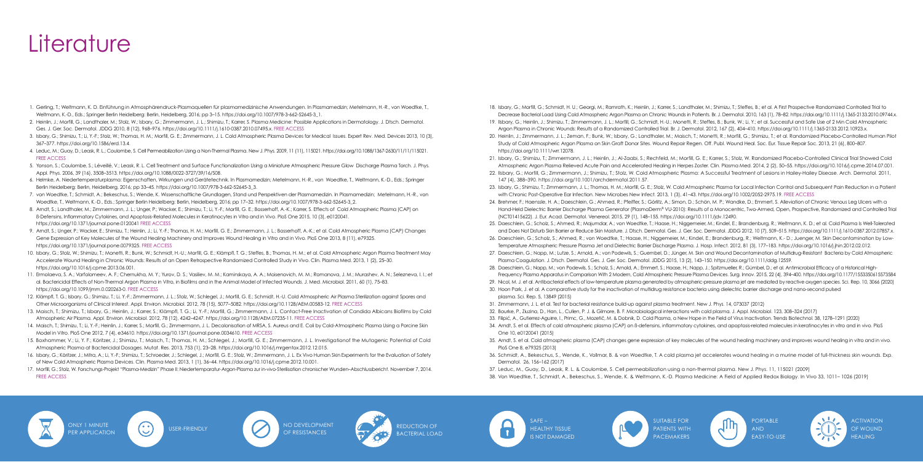### **Literature**

- 1. Gerling, T.; Weltmann, K. D. Einführung in Atmosphärendruck-Plasmaquellen für plasmamedizinische Anwendungen. In Plasmamedizin; Metelmann, H.-R., von Woedtke, T., Weltmann, K.-D., Eds.; Springer Berlin Heidelberg: Berlin, Heidelberg, 2016; pp 3–15. https://doi.org/10.1007/978-3-662-52645-3\_1.
- 2. Heinlin, J.; Morfill, G.; Landthaler, M.; Stolz, W.; Isbary, G.; Zimmermann, J. L.; Shimizu, T.; Karrer, S. Plasma Medicine: Possible Applications in Dermatology. J. Dtsch. Dermatol. Ges. J. Ger. Soc. Dermatol. JDDG 2010, 8 (12), 968–976. https://doi.org/10.1111/j.1610-0387.2010.07495.x. FREE ACCESS
- 3. Isbary, G.; Shimizu, T.; Li, Y.-F.; Stolz, W.; Thomas, H. M.; Morfill, G. E.; Zimmermann, J. L. Cold Atmospheric Plasma Devices for Medical Issues. Expert Rev. Med. Devices 2013, 10 (3), 367–377. https://doi.org/10.1586/erd.13.4.
- 4. Leduc, M.; Guay, D.; Leask, R. L.; Coulombe, S. Cell Permeabilization Using a Non-Thermal Plasma. New J. Phys. 2009, 11 (11), 115021. https://doi.org/10.1088/1367-2630/11/11/115021. FREE ACCESS
- 5. Yonson, S.; Coulombe, S.; Léveillé, V.; Leask, R. L. Cell Treatment and Surface Functionalization Using a Miniature Atmospheric Pressure Glow Discharge Plasma Torch. J. Phys. Appl. Phys. 2006, 39 (16), 3508–3513. https://doi.org/10.1088/0022-3727/39/16/S08.
- 6. Helmke, A. Niedertemperaturplasma: Eigenschaften, Wirkungen und Gerätetechnik. In Plasmamedizin; Metelmann, H.-R., von Woedtke, T., Weltmann, K.-D., Eds.; Springer Berlin Heidelberg: Berlin, Heidelberg, 2016; pp 33–45. https://doi.org/10.1007/978-3-662-52645-3\_3.
- 7. von Woedtke, T.; Schmidt, A.; Bekeschus, S.; Wende, K. Wissenschaftliche Grundlagen, Stand und Perspektiven der Plasmamedizin. In Plasmamedizin; Metelmann, H.-R., von Woedtke, T., Weltmann, K.-D., Eds.; Springer Berlin Heidelberg; Berlin, Heidelberg, 2016; pp 17-32. https://doi.org/10.1007/978-3-662-52645-3\_2.
- 8. Arndt, S.; Landthaler, M.; Zimmermann, J. L.; Unger, P.; Wacker, E.; Shimizu, T.; Li, Y.-F.; Morfill, G. E.; Bosserhoff, A.-K.; Karrer, S. Effects of Cold Atmospheric Plasma (CAP) on ß-Defensins, Inflammatory Cytokines, and Apoptosis-Related Molecules in Keratinocytes in Vitro and in Vivo. PloS One 2015, 10 (3), e0120041. https://doi.org/10.1371/journal.pone.0120041 FREE ACCESS
- 9. Arndt, S.; Unger, P.; Wacker, E.; Shimizu, T.; Heinlin, J.; Li, Y.-F.; Thomas, H. M.; Morfill, G. E.; Zimmermann, J. L.; Bosserhoff, A.-K.; et al. Cold Atmospheric Plasma (CAP) Changes Gene Expression of Key Molecules of the Wound Healing Machinery and Improves Wound Healing in Vitro and in Vivo. PloS One 2013, 8 (11), e79325. https://doi.org/10.1371/journal.pone.0079325. FREE ACCESS
- 10. Isbary, G.; Stolz, W.; Shimizu, T.; Monetti, R.; Bunk, W.; Schmidt, H.-U.; Morfill, G. E.; Klämpfl, T. G.; Steffes, B.; Thomas, H. M.; et al. Cold Atmospheric Argon Plasma Treatment May Accelerate Wound Healing in Chronic Wounds: Results of an Open Retrospective Randomized Controlled Study in Vivo. Clin. Plasma Med. 2013, 1 (2), 25–30. https://doi.org/10.1016/j.cpme.2013.06.001.
- 11. Ermolaeva, S. A.; Varfolomeev, A. F.; Chernukha, M. Y.; Yurov, D. S.; Vasiliev, M. M.; Kaminskaya, A. A.; Moisenovich, M. M.; Romanova, J. M.; Murashev, A. N.; Selezneva, I. I.; et al. Bactericidal Effects of Non-Thermal Argon Plasma in Vitro, in Biofilms and in the Animal Model of Infected Wounds. J. Med. Microbiol. 2011, 60 (1), 75–83. https://doi.org/10.1099/jmm.0.020263-0. FREE ACCESS
- 12. Klämpfl, T. G.; Isbary, G.; Shimizu, T.; Li, Y.-F.; Zimmermann, J. L.; Stolz, W.; Schlegel, J.; Morfill, G. E.; Schmidt, H.-U. Cold Atmospheric Air Plasma Sterilization against Spores and Other Microorganisms of Clinical Interest. Appl. Environ. Microbiol. 2012, 78 (15), 5077–5082. https://doi.org/10.1128/AEM.00583-12. FREE ACCESS
- 13. Maisch, T.; Shimizu, T.; Isbary, G.; Heinlin, J.; Karrer, S.; Klämpfl, T. G.; Li, Y.-F.; Morfill, G.; Zimmermann, J. L. Contact-Free Inactivation of Candida Albicans Biofilms by Cold Atmospheric Air Plasma. Appl. Environ. Microbiol. 2012, 78 (12), 4242–4247. https://doi.org/10.1128/AEM.07235-11. FREE ACCESS
- 14. Maisch, T.; Shimizu, T.; Li, Y.-F.; Heinlin, J.; Karrer, S.; Morfill, G.; Zimmermann, J. L. Decolonisation of MRSA, S. Aureus and E. Coli by Cold-Atmospheric Plasma Using a Porcine Skin Model in Vitro. PloS One 2012, 7 (4), e34610. https://doi.org/10.1371/journal.pone.0034610. FREE ACCESS
- 15. Boxhammer, V.; Li, Y. F.; Köritzer, J.; Shimizu, T.; Maisch, T.; Thomas, H. M.; Schlegel, J.; Morfill, G. E.; Zimmermann, J. L. Investigationof the Mutagenic Potential of Cold Atmospheric Plasma at Bactericidal Dosages. Mutat. Res. 2013, 753 (1), 23–28. https://doi.org/10.1016/j.mrgentox.2012.12.015.
- 16. Isbary, G.; Köritzer, J.; Mitra, A.; Li, Y.-F.; Shimizu, T.; Schroeder, J.; Schlegel, J.; Morfill, G. E.; Stolz, W.; Zimmermann, J. L. Ex Vivo Human Skin Experiments for the Evaluation of Safety of New Cold Atmospheric Plasma Devices. Clin. Plasma Med. 2013, 1 (1), 36–44. https://doi.org/10.1016/j.cpme.2012.10.001.
- 17. Morfill, G.; Stolz, W. Forschungs-Projekt "Plasma-Medizin" Phase II: Niedertemparatur-Argon-Plasma zur in-vivo-Sterilisation chronischer Wunden–Abschlussbericht. November 7, 2014. FREE ACCESS



ONLY 1 MINUTE<br>PER APPLICATION (CO) USER-FRIENDLY CONTROLLY OF RESISTANCES OF RESISTANCES

 $SAFF -$ HEALTHY TISSUE IS NOT DAMAGED

PATIENTS WITH **PACEMAKERS** 

Decrease Bacterial Load Using Cold Atmospheric Argon Plasma on Chronic Wounds in Patients. Br. J. Dermatol. 2010, 163 (1), 78-82. https://doi.org/10.1111/j.1365-2133.2010.09744.x.

ACTIVATION OF WOUND **HEALING** 

22. IIsbary, G.; Morfill, G.; Zimmermann, J.; Shimizu, T.; Stolz, W. Cold Atmospheric Plasma: A Successful Treatment of Lesions in Hailey-Hailey Disease. Arch. Dermatol. 2011,

23. Isbary, G.; Shimizu, T.; Zimmermann, J. L.; Thomas, H. M.; Morfill, G. E.; Stolz, W. Cold Atmospheric Plasma for Local Infection Control and Subsequent Pain Reduction in a Patient

- 18. Isbary, G.; Morfill, G.; Schmidt, H. U.; Georgi, M.; Ramrath, K.; Heinlin, J.; Karrer, S.; Landthaler, M.; Shimizu, T.; Steffes, B.; et al. A First Prospective Randomized Controlled Trial to
- 19. IIsbary, G.; Heinlin, J.; Shimizu, T.; Zimmermann, J. L.; Morfill, G.; Schmidt, H.-U.; Monetti, R.; Steffes, B.; Bunk, W.; Li, Y.; et al. Successful and Safe Use of 2 Min Cold Atmospheric Argon Plasma in Chronic Wounds: Results of a Randomized Controlled Trial. Br. J. Dermatol. 2012, 167 (2), 404–410. https://doi.org/10.1111/j.1365-2133.2012.10923.x.
- 20. Heinlin, J.; Zimmermann, J. L.; Zeman, F.; Bunk, W.; Isbary, G.; Landthaler, M.; Maisch, T.; Monetti, R.; Morfill, G.; Shimizu, T.; et al. Randomized Placebo-Controlled Human Pilot Study of Cold Atmospheric Argon Plasma on Skin Graft Donor Sites. Wound Repair Regen. Off. Publ. Wound Heal. Soc. Eur. Tissue Repair Soc. 2013, 21 (6), 800–807. https://doi.org/10.1111/wrr.12078.
- 21. Isbary, G.; Shimizu, T.; Zimmermann, J. L.; Heinlin, J.; Al-Zaabi, S.; Rechfeld, M.; Morfill, G. E.; Karrer, S.; Stolz, W. Randomized Placebo-Controlled Clinical Trial Showed Cold Atmospheric Argon Plasma Relieved Acute Pain and Accelerated Healing in Herpes Zoster. Clin. Plasma Med. 2014, 2 (2), 50–55. https://doi.org/10.1016/j.cpme.2014.07.001.
- 147 (4), 388–390. https://doi.org/10.1001/archdermatol.2011.57.
- with Chronic Post-Operative Ear Infection. New Microbes New Infect. 2013, 1 (3), 41–43. https://doi.org/10.1002/2052-2975.19. FREE ACCESS
- 24. Brehmer, F.; Haenssle, H. A.; Daeschlein, G.; Ahmed, R.; Pfeiffer, S.; Görlitz, A.; Simon, D.; Schön, M. P.; Wandke, D.; Emmert, S. Alleviation of Chronic Venous Leg Ulcers with a Hand-Held Dielectric Barrier Discharge Plasma Generator (PlasmaDerm® VU-2010): Results of a Monocentric, Two-Armed, Open, Prospective, Randomized and Controlled Trial (NCT01415622). J. Eur. Acad. Dermatol. Venereol. 2015, 29 (1), 148–155. https://doi.org/10.1111/jdv.12490.
- and Does Not Disturb Skin Barrier or Reduce Skin Moisture. J. Dtsch. Dermatol. Ges. J. Ger. Soc. Dermatol. JDDG 2012, 10 (7), 509-515. https://doi.org/10.1111/j.1610-0387.2012.07857.x.
- Temperature Atmospheric Pressure Plasma Jet and Dielectric Barrier Discharge Plasma. J. Hosp. Infect. 2012, 81 (3), 177–183. https://doi.org/10.1016/j.jhin.2012.02.012.
- 27. Daeschlein, G.; Napp, M.; Lutze, S.; Arnold, A.; von Podewils, S.; Guembel, D.; Jünger, M. Skin and Wound Decontamination of Multidrug-Resistant Bacteria by Cold Atmospheric Plasma Coagulation. J. Dtsch. Dermatol. Ges. J. Ger. Soc. Dermatol. JDDG 2015, 13 (2), 143–150. https://doi.org/10.1111/ddg.12559.
- 28. Daeschlein, G.; Napp, M.; von Podewils, S.; Scholz, S.; Arnold, A.; Emmert, S.; Haase, H.; Napp, J.; Spitzmueller, R.; Gümbel, D.; et al. Antimicrobial Efficacy of a Historical High-Frequency Plasma Apparatus in Comparison With 2 Modern, Cold Atmospheric Pressure Plasma Devices. Surg. Innov. 2015, 22 (4), 394–400. https://doi.org/10.1177/1553350615573584
- 29. Nicol, M. J. et al. Antibacterial effects of low-temperature plasma generated by atmospheric-pressure plasma jet are mediated by reactive oxygen species. Sci. Rep. 10, 3066 (2020)
- 30. Hoon Park, J. et al. A comparative study for the inactivation of multidrug resistance bacteria using dielectric barrier discharge and nano-second pulsed plasma. Sci. Rep. 5, 13849 (2015)
- 31. Zimmermann, J. L. et al. Test for bacterial resistance build-up against plasma treatment. New J. Phys. 14, 073037 (2012)
- 32. Bourke, P., Ziuzina, D., Han, L., Cullen, P. J. & Gilmore, B. F. Microbiological interactions with cold plasma. J. Appl. Microbiol. 123, 308–324 (2017)
- 
- One 10, e0120041 (2015)
- PloS One 8, e79325 (2013)
- 36. Schmidt, A., Bekeschus, S., Wende, K., Vollmar, B. & von Woedtke, T. A cold plasma jet accelerates wound healing in a murine model of full-thickness skin wounds. Exp. Dermatol. 26, 156–162 (2017)
- 37. Leduc, M., Guay, D., Leask, R. L. & Coulombe, S. Cell permeabilization using a non-thermal plasma. New J. Phys. 11, 115021 (2009)

25. Daeschlein, G.; Scholz, S.; Ahmed, R.; Majumdar, A.; von Woedtke, T.; Haase, H.; Niggemeier, M.; Kindel, E.; Brandenburg, R.; Weltmann, K. D.; et al. Cold Plasma Is Well-Tolerated 26. Daeschlein, G.; Scholz, S.; Ahmed, R.; von Woedtke, T.; Haase, H.; Niggemeier, M.; Kindel, E.; Brandenburg, R.; Weltmann, K.- D.; Juenger, M. Skin Decontamination by Low-

33. Filipić, A., Gutierrez-Aguirre, L., Primc, G., Mozetič, M., & Dobnik, D. Cold Plasma, a New Hope in the Field of Virus Inactivation. Trends Biotechnol. 38, 1278–1291 (2020).

34. Arndt, S. et al. Effects of cold atmospheric plasma (CAP) on ß-defensins, inflammatory cytokines, and apoptosis-related molecules in keratinocytes in vitro and in vivo. PloS

35. Arndt, S. et al. Cold atmospheric plasma (CAP) changes gene expression of key molecules of the wound healing machinery and improves wound healing in vitro and in vivo.

38. Von Woedtke, T., Schmidt, A., Bekeschus, S., Wende, K. & Weltmann, K.-D. Plasma Medicine: A Field of Applied Redox Biology. In Vivo 33, 1011– 1026 (2019)













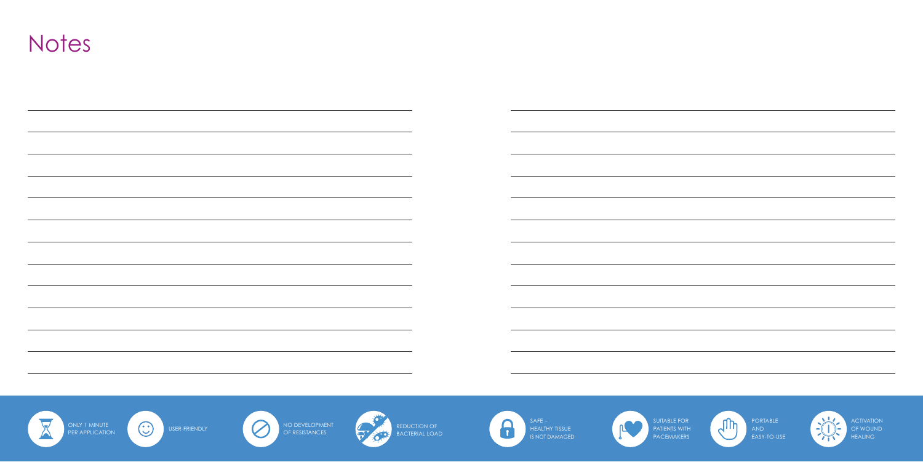### **Notes**

| $\bigodot$<br>NO DEVELOPMENT<br>OF RESISTANCES<br>ONLY 1 MINUTE<br>REDUCTION OF<br>BACTERIAL LOAD<br>$\overline{\phantom{a}}$<br>USER-FRIENDLY<br>PER APPLICATION | $SAFE -$<br>8<br>HEALTHY TISSUE<br>IS NOT DAMAGED | SUITABLE FOR<br>PATIENTS WITH<br>PACEMAKERS |
|-------------------------------------------------------------------------------------------------------------------------------------------------------------------|---------------------------------------------------|---------------------------------------------|



**ACTIVATION** OF WOUND HEALING